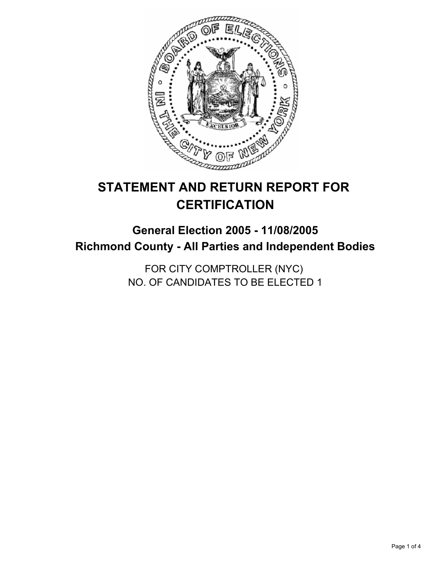

# **STATEMENT AND RETURN REPORT FOR CERTIFICATION**

# **General Election 2005 - 11/08/2005 Richmond County - All Parties and Independent Bodies**

FOR CITY COMPTROLLER (NYC) NO. OF CANDIDATES TO BE ELECTED 1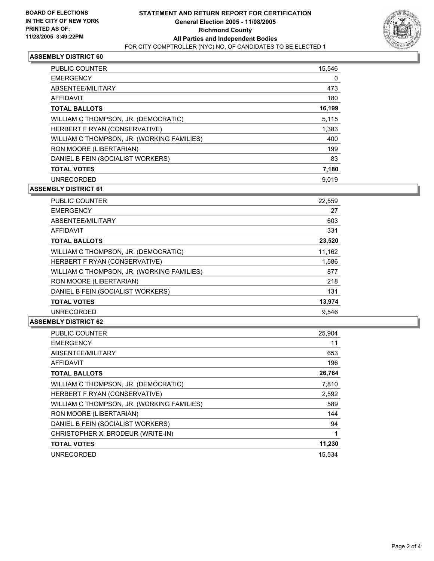

### **ASSEMBLY DISTRICT 60**

| <b>PUBLIC COUNTER</b>                      | 15,546 |
|--------------------------------------------|--------|
| <b>EMERGENCY</b>                           | 0      |
| ABSENTEE/MILITARY                          | 473    |
| AFFIDAVIT                                  | 180    |
| <b>TOTAL BALLOTS</b>                       | 16,199 |
| WILLIAM C THOMPSON, JR. (DEMOCRATIC)       | 5,115  |
| HERBERT F RYAN (CONSERVATIVE)              | 1,383  |
| WILLIAM C THOMPSON, JR. (WORKING FAMILIES) | 400    |
| RON MOORE (LIBERTARIAN)                    | 199    |
| DANIEL B FEIN (SOCIALIST WORKERS)          | 83     |
| <b>TOTAL VOTES</b>                         | 7,180  |
| UNRECORDED                                 | 9.019  |

#### **ASSEMBLY DISTRICT 61**

| PUBLIC COUNTER                             | 22,559 |
|--------------------------------------------|--------|
| <b>EMERGENCY</b>                           | 27     |
| ABSENTEE/MILITARY                          | 603    |
| AFFIDAVIT                                  | 331    |
| <b>TOTAL BALLOTS</b>                       | 23,520 |
| WILLIAM C THOMPSON, JR. (DEMOCRATIC)       | 11,162 |
| HERBERT F RYAN (CONSERVATIVE)              | 1,586  |
| WILLIAM C THOMPSON, JR. (WORKING FAMILIES) | 877    |
| RON MOORE (LIBERTARIAN)                    | 218    |
| DANIEL B FEIN (SOCIALIST WORKERS)          | 131    |
| <b>TOTAL VOTES</b>                         | 13,974 |
| <b>UNRECORDED</b>                          | 9.546  |

#### **ASSEMBLY DISTRICT 62**

| PUBLIC COUNTER                             | 25,904 |
|--------------------------------------------|--------|
| <b>EMERGENCY</b>                           | 11     |
| ABSENTEE/MILITARY                          | 653    |
| AFFIDAVIT                                  | 196    |
| <b>TOTAL BALLOTS</b>                       | 26,764 |
| WILLIAM C THOMPSON, JR. (DEMOCRATIC)       | 7,810  |
| HERBERT F RYAN (CONSERVATIVE)              | 2,592  |
| WILLIAM C THOMPSON, JR. (WORKING FAMILIES) | 589    |
| RON MOORE (LIBERTARIAN)                    | 144    |
| DANIEL B FEIN (SOCIALIST WORKERS)          | 94     |
| CHRISTOPHER X. BRODEUR (WRITE-IN)          |        |
| <b>TOTAL VOTES</b>                         | 11,230 |
| <b>UNRECORDED</b>                          | 15.534 |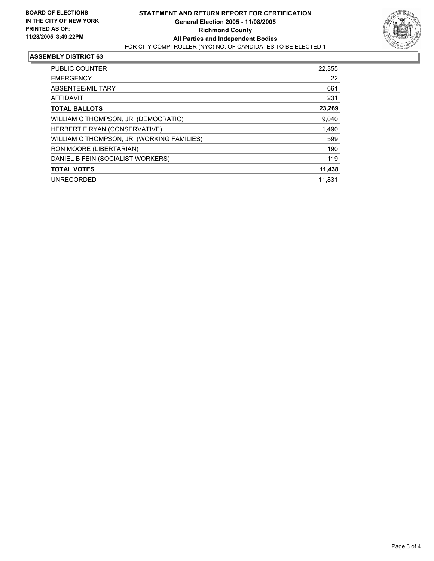

## **ASSEMBLY DISTRICT 63**

| <b>PUBLIC COUNTER</b>                      | 22,355 |
|--------------------------------------------|--------|
| <b>EMERGENCY</b>                           | 22     |
| ABSENTEE/MILITARY                          | 661    |
| <b>AFFIDAVIT</b>                           | 231    |
| <b>TOTAL BALLOTS</b>                       | 23,269 |
| WILLIAM C THOMPSON, JR. (DEMOCRATIC)       | 9,040  |
| HERBERT F RYAN (CONSERVATIVE)              | 1,490  |
| WILLIAM C THOMPSON, JR. (WORKING FAMILIES) | 599    |
| RON MOORE (LIBERTARIAN)                    | 190    |
| DANIEL B FEIN (SOCIALIST WORKERS)          | 119    |
| <b>TOTAL VOTES</b>                         | 11,438 |
| <b>UNRECORDED</b>                          | 11.831 |